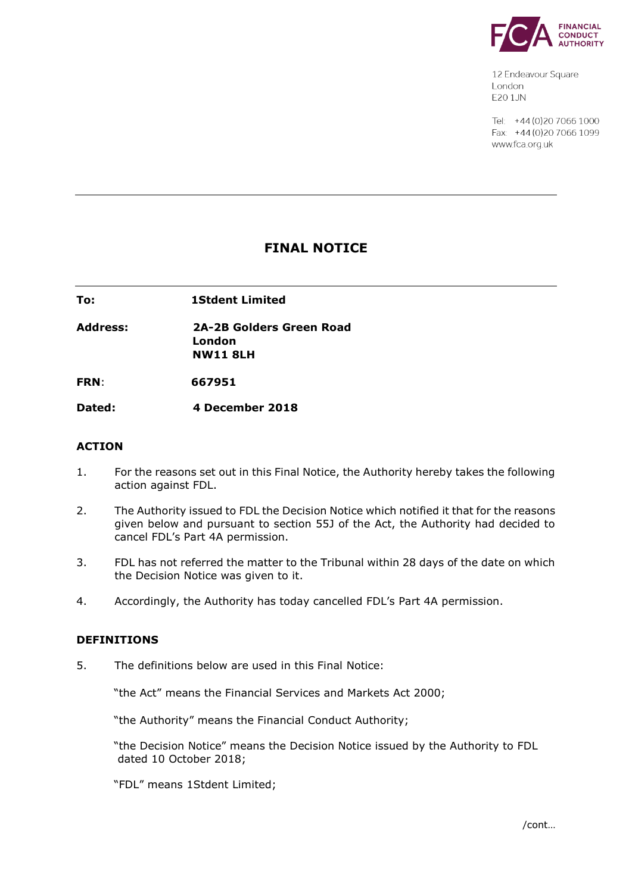

12 Endeavour Square London E201JN

Tel: +44 (0) 20 7066 1000 Fax: +44 (0) 20 7066 1099 www.fca.org.uk

# **FINAL NOTICE**

**To: 1Stdent Limited** 

**Address: 2A-2B Golders Green Road London NW11 8LH**

**FRN**: **667951**

**Dated: 4 December 2018**

## **ACTION**

- 1. For the reasons set out in this Final Notice, the Authority hereby takes the following action against FDL.
- 2. The Authority issued to FDL the Decision Notice which notified it that for the reasons given below and pursuant to section 55J of the Act, the Authority had decided to cancel FDL's Part 4A permission.
- 3. FDL has not referred the matter to the Tribunal within 28 days of the date on which the Decision Notice was given to it.
- 4. Accordingly, the Authority has today cancelled FDL's Part 4A permission.

## **DEFINITIONS**

5. The definitions below are used in this Final Notice:

"the Act" means the Financial Services and Markets Act 2000;

"the Authority" means the Financial Conduct Authority;

"the Decision Notice" means the Decision Notice issued by the Authority to FDL dated 10 October 2018;

"FDL" means 1Stdent Limited;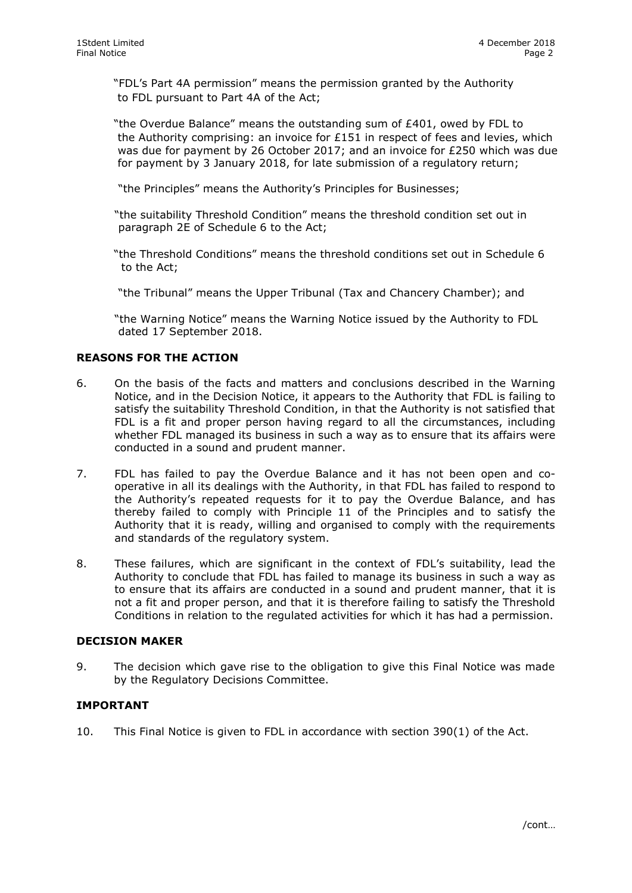"FDL's Part 4A permission" means the permission granted by the Authority to FDL pursuant to Part 4A of the Act;

 "the Overdue Balance" means the outstanding sum of £401, owed by FDL to the Authority comprising: an invoice for £151 in respect of fees and levies, which was due for payment by 26 October 2017; and an invoice for £250 which was due for payment by 3 January 2018, for late submission of a regulatory return;

"the Principles" means the Authority's Principles for Businesses;

"the suitability Threshold Condition" means the threshold condition set out in paragraph 2E of Schedule 6 to the Act;

"the Threshold Conditions" means the threshold conditions set out in Schedule 6 to the Act;

"the Tribunal" means the Upper Tribunal (Tax and Chancery Chamber); and

"the Warning Notice" means the Warning Notice issued by the Authority to FDL dated 17 September 2018.

## **REASONS FOR THE ACTION**

- 6. On the basis of the facts and matters and conclusions described in the Warning Notice, and in the Decision Notice, it appears to the Authority that FDL is failing to satisfy the suitability Threshold Condition, in that the Authority is not satisfied that FDL is a fit and proper person having regard to all the circumstances, including whether FDL managed its business in such a way as to ensure that its affairs were conducted in a sound and prudent manner.
- 7. FDL has failed to pay the Overdue Balance and it has not been open and cooperative in all its dealings with the Authority, in that FDL has failed to respond to the Authority's repeated requests for it to pay the Overdue Balance, and has thereby failed to comply with Principle 11 of the Principles and to satisfy the Authority that it is ready, willing and organised to comply with the requirements and standards of the regulatory system.
- 8. These failures, which are significant in the context of FDL's suitability, lead the Authority to conclude that FDL has failed to manage its business in such a way as to ensure that its affairs are conducted in a sound and prudent manner, that it is not a fit and proper person, and that it is therefore failing to satisfy the Threshold Conditions in relation to the regulated activities for which it has had a permission.

#### **DECISION MAKER**

9. The decision which gave rise to the obligation to give this Final Notice was made by the Regulatory Decisions Committee.

## **IMPORTANT**

10. This Final Notice is given to FDL in accordance with section 390(1) of the Act.